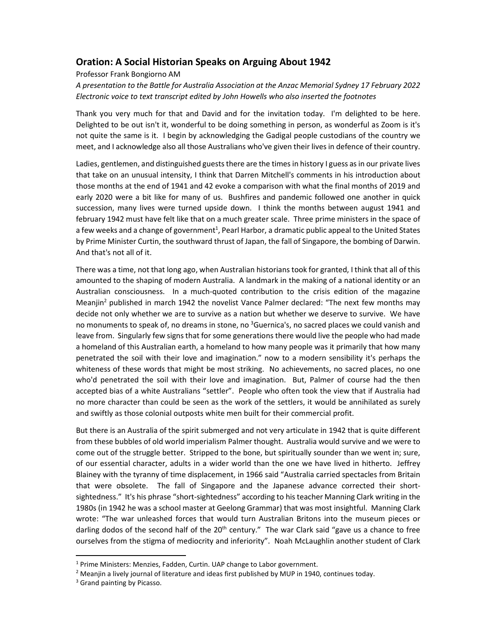# **Oration: A Social Historian Speaks on Arguing About 1942**

Professor Frank Bongiorno AM

*A presentation to the Battle for Australia Association at the Anzac Memorial Sydney 17 February 2022 Electronic voice to text transcript edited by John Howells who also inserted the footnotes* 

Thank you very much for that and David and for the invitation today. I'm delighted to be here. Delighted to be out isn't it, wonderful to be doing something in person, as wonderful as Zoom is it's not quite the same is it. I begin by acknowledging the Gadigal people custodians of the country we meet, and I acknowledge also all those Australians who've given their lives in defence of their country.

Ladies, gentlemen, and distinguished guests there are the times in history I guess as in our private lives that take on an unusual intensity, I think that Darren Mitchell's comments in his introduction about those months at the end of 1941 and 42 evoke a comparison with what the final months of 2019 and early 2020 were a bit like for many of us. Bushfires and pandemic followed one another in quick succession, many lives were turned upside down. I think the months between august 1941 and february 1942 must have felt like that on a much greater scale. Three prime ministers in the space of a few weeks and a change of government<sup>1</sup>, Pearl Harbor, a dramatic public appeal to the United States by Prime Minister Curtin, the southward thrust of Japan, the fall of Singapore, the bombing of Darwin. And that's not all of it.

There was a time, not that long ago, when Australian historians took for granted, I think that all of this amounted to the shaping of modern Australia. A landmark in the making of a national identity or an Australian consciousness. In a much-quoted contribution to the crisis edition of the magazine Meanjin<sup>2</sup> published in march 1942 the novelist Vance Palmer declared: "The next few months may decide not only whether we are to survive as a nation but whether we deserve to survive. We have no monuments to speak of, no dreams in stone, no <sup>3</sup>Guernica's, no sacred places we could vanish and leave from. Singularly few signs that for some generations there would live the people who had made a homeland of this Australian earth, a homeland to how many people was it primarily that how many penetrated the soil with their love and imagination." now to a modern sensibility it's perhaps the whiteness of these words that might be most striking. No achievements, no sacred places, no one who'd penetrated the soil with their love and imagination. But, Palmer of course had the then accepted bias of a white Australians "settler". People who often took the view that if Australia had no more character than could be seen as the work of the settlers, it would be annihilated as surely and swiftly as those colonial outposts white men built for their commercial profit.

But there is an Australia of the spirit submerged and not very articulate in 1942 that is quite different from these bubbles of old world imperialism Palmer thought. Australia would survive and we were to come out of the struggle better. Stripped to the bone, but spiritually sounder than we went in; sure, of our essential character, adults in a wider world than the one we have lived in hitherto. Jeffrey Blainey with the tyranny of time displacement, in 1966 said "Australia carried spectacles from Britain that were obsolete. The fall of Singapore and the Japanese advance corrected their shortsightedness." It's his phrase "short-sightedness" according to his teacher Manning Clark writing in the 1980s (in 1942 he was a school master at Geelong Grammar) that was most insightful. Manning Clark wrote: "The war unleashed forces that would turn Australian Britons into the museum pieces or darling dodos of the second half of the  $20<sup>th</sup>$  century." The war Clark said "gave us a chance to free ourselves from the stigma of mediocrity and inferiority". Noah McLaughlin another student of Clark

<sup>&</sup>lt;sup>1</sup> Prime Ministers: Menzies, Fadden, Curtin. UAP change to Labor government.

<sup>&</sup>lt;sup>2</sup> Meanjin a lively journal of literature and ideas first published by MUP in 1940, continues today.

<sup>&</sup>lt;sup>3</sup> Grand painting by Picasso.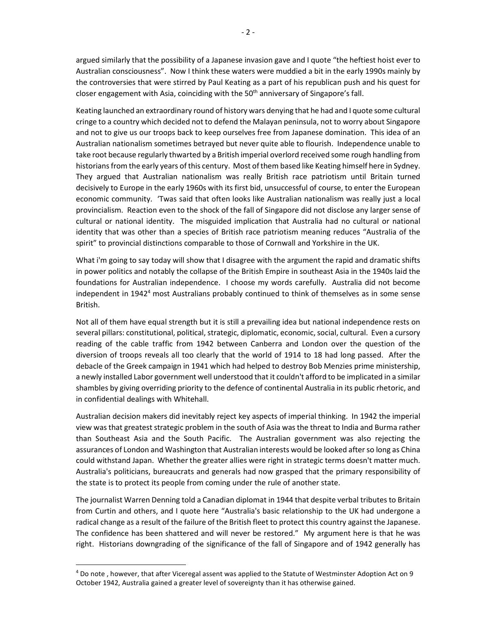argued similarly that the possibility of a Japanese invasion gave and I quote "the heftiest hoist ever to Australian consciousness". Now I think these waters were muddied a bit in the early 1990s mainly by the controversies that were stirred by Paul Keating as a part of his republican push and his quest for closer engagement with Asia, coinciding with the 50<sup>th</sup> anniversary of Singapore's fall.

Keating launched an extraordinary round of history wars denying that he had and I quote some cultural cringe to a country which decided not to defend the Malayan peninsula, not to worry about Singapore and not to give us our troops back to keep ourselves free from Japanese domination. This idea of an Australian nationalism sometimes betrayed but never quite able to flourish. Independence unable to take root because regularly thwarted by a British imperial overlord received some rough handling from historians from the early years of this century. Most of them based like Keating himself here in Sydney. They argued that Australian nationalism was really British race patriotism until Britain turned decisively to Europe in the early 1960s with its first bid, unsuccessful of course, to enter the European economic community. 'Twas said that often looks like Australian nationalism was really just a local provincialism. Reaction even to the shock of the fall of Singapore did not disclose any larger sense of cultural or national identity. The misguided implication that Australia had no cultural or national identity that was other than a species of British race patriotism meaning reduces "Australia of the spirit" to provincial distinctions comparable to those of Cornwall and Yorkshire in the UK.

What i'm going to say today will show that I disagree with the argument the rapid and dramatic shifts in power politics and notably the collapse of the British Empire in southeast Asia in the 1940s laid the foundations for Australian independence. I choose my words carefully. Australia did not become independent in 1942<sup>4</sup> most Australians probably continued to think of themselves as in some sense British.

Not all of them have equal strength but it is still a prevailing idea but national independence rests on several pillars: constitutional, political, strategic, diplomatic, economic, social, cultural. Even a cursory reading of the cable traffic from 1942 between Canberra and London over the question of the diversion of troops reveals all too clearly that the world of 1914 to 18 had long passed. After the debacle of the Greek campaign in 1941 which had helped to destroy Bob Menzies prime ministership, a newly installed Labor government well understood that it couldn't afford to be implicated in a similar shambles by giving overriding priority to the defence of continental Australia in its public rhetoric, and in confidential dealings with Whitehall.

Australian decision makers did inevitably reject key aspects of imperial thinking. In 1942 the imperial view was that greatest strategic problem in the south of Asia was the threat to India and Burma rather than Southeast Asia and the South Pacific. The Australian government was also rejecting the assurances of London and Washington that Australian interests would be looked after so long as China could withstand Japan. Whether the greater allies were right in strategic terms doesn't matter much. Australia's politicians, bureaucrats and generals had now grasped that the primary responsibility of the state is to protect its people from coming under the rule of another state.

The journalist Warren Denning told a Canadian diplomat in 1944 that despite verbal tributes to Britain from Curtin and others, and I quote here "Australia's basic relationship to the UK had undergone a radical change as a result of the failure of the British fleet to protect this country against the Japanese. The confidence has been shattered and will never be restored." My argument here is that he was right. Historians downgrading of the significance of the fall of Singapore and of 1942 generally has

<sup>4</sup> Do note , however, that after Viceregal assent was applied to the Statute of Westminster Adoption Act on 9 October 1942, Australia gained a greater level of sovereignty than it has otherwise gained.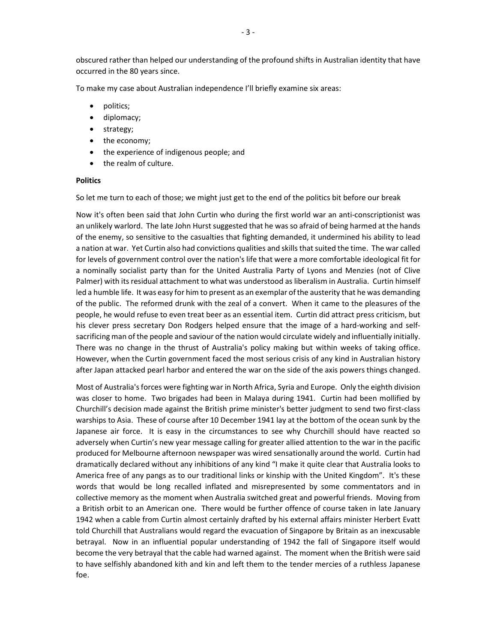obscured rather than helped our understanding of the profound shifts in Australian identity that have occurred in the 80 years since.

To make my case about Australian independence I'll briefly examine six areas:

- politics;
- diplomacy;
- strategy;
- the economy;
- the experience of indigenous people; and
- the realm of culture.

## **Politics**

So let me turn to each of those; we might just get to the end of the politics bit before our break

Now it's often been said that John Curtin who during the first world war an anti-conscriptionist was an unlikely warlord. The late John Hurst suggested that he was so afraid of being harmed at the hands of the enemy, so sensitive to the casualties that fighting demanded, it undermined his ability to lead a nation at war. Yet Curtin also had convictions qualities and skills that suited the time. The war called for levels of government control over the nation's life that were a more comfortable ideological fit for a nominally socialist party than for the United Australia Party of Lyons and Menzies (not of Clive Palmer) with its residual attachment to what was understood as liberalism in Australia. Curtin himself led a humble life. It was easy for him to present as an exemplar of the austerity that he was demanding of the public. The reformed drunk with the zeal of a convert. When it came to the pleasures of the people, he would refuse to even treat beer as an essential item. Curtin did attract press criticism, but his clever press secretary Don Rodgers helped ensure that the image of a hard-working and selfsacrificing man of the people and saviour of the nation would circulate widely and influentially initially. There was no change in the thrust of Australia's policy making but within weeks of taking office. However, when the Curtin government faced the most serious crisis of any kind in Australian history after Japan attacked pearl harbor and entered the war on the side of the axis powers things changed.

Most of Australia's forces were fighting war in North Africa, Syria and Europe. Only the eighth division was closer to home. Two brigades had been in Malaya during 1941. Curtin had been mollified by Churchill's decision made against the British prime minister's better judgment to send two first-class warships to Asia. These of course after 10 December 1941 lay at the bottom of the ocean sunk by the Japanese air force. It is easy in the circumstances to see why Churchill should have reacted so adversely when Curtin's new year message calling for greater allied attention to the war in the pacific produced for Melbourne afternoon newspaper was wired sensationally around the world. Curtin had dramatically declared without any inhibitions of any kind "I make it quite clear that Australia looks to America free of any pangs as to our traditional links or kinship with the United Kingdom". It's these words that would be long recalled inflated and misrepresented by some commentators and in collective memory as the moment when Australia switched great and powerful friends. Moving from a British orbit to an American one. There would be further offence of course taken in late January 1942 when a cable from Curtin almost certainly drafted by his external affairs minister Herbert Evatt told Churchill that Australians would regard the evacuation of Singapore by Britain as an inexcusable betrayal. Now in an influential popular understanding of 1942 the fall of Singapore itself would become the very betrayal that the cable had warned against. The moment when the British were said to have selfishly abandoned kith and kin and left them to the tender mercies of a ruthless Japanese foe.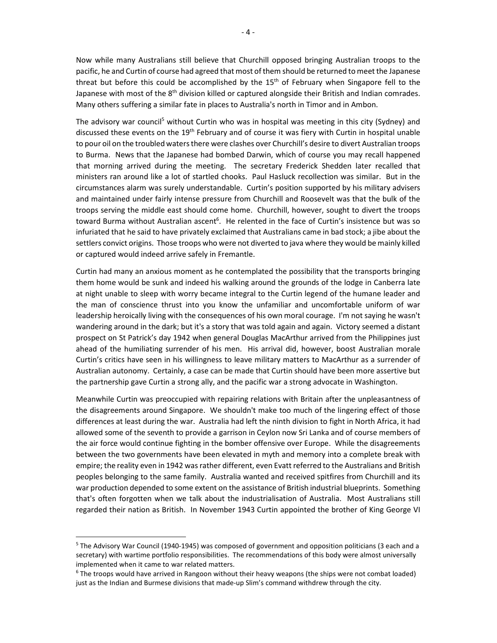Now while many Australians still believe that Churchill opposed bringing Australian troops to the pacific, he and Curtin of course had agreed that most of them should be returned to meet the Japanese threat but before this could be accomplished by the  $15<sup>th</sup>$  of February when Singapore fell to the Japanese with most of the 8<sup>th</sup> division killed or captured alongside their British and Indian comrades. Many others suffering a similar fate in places to Australia's north in Timor and in Ambon.

The advisory war council<sup>5</sup> without Curtin who was in hospital was meeting in this city (Sydney) and discussed these events on the 19<sup>th</sup> February and of course it was fiery with Curtin in hospital unable to pour oil on the troubled waters there were clashes over Churchill's desire to divert Australian troops to Burma. News that the Japanese had bombed Darwin, which of course you may recall happened that morning arrived during the meeting. The secretary Frederick Shedden later recalled that ministers ran around like a lot of startled chooks. Paul Hasluck recollection was similar. But in the circumstances alarm was surely understandable. Curtin's position supported by his military advisers and maintained under fairly intense pressure from Churchill and Roosevelt was that the bulk of the troops serving the middle east should come home. Churchill, however, sought to divert the troops toward Burma without Australian ascent<sup>6</sup>. He relented in the face of Curtin's insistence but was so infuriated that he said to have privately exclaimed that Australians came in bad stock; a jibe about the settlers convict origins. Those troops who were not diverted to java where they would be mainly killed or captured would indeed arrive safely in Fremantle.

Curtin had many an anxious moment as he contemplated the possibility that the transports bringing them home would be sunk and indeed his walking around the grounds of the lodge in Canberra late at night unable to sleep with worry became integral to the Curtin legend of the humane leader and the man of conscience thrust into you know the unfamiliar and uncomfortable uniform of war leadership heroically living with the consequences of his own moral courage. I'm not saying he wasn't wandering around in the dark; but it's a story that was told again and again. Victory seemed a distant prospect on St Patrick's day 1942 when general Douglas MacArthur arrived from the Philippines just ahead of the humiliating surrender of his men. His arrival did, however, boost Australian morale Curtin's critics have seen in his willingness to leave military matters to MacArthur as a surrender of Australian autonomy. Certainly, a case can be made that Curtin should have been more assertive but the partnership gave Curtin a strong ally, and the pacific war a strong advocate in Washington.

Meanwhile Curtin was preoccupied with repairing relations with Britain after the unpleasantness of the disagreements around Singapore. We shouldn't make too much of the lingering effect of those differences at least during the war. Australia had left the ninth division to fight in North Africa, it had allowed some of the seventh to provide a garrison in Ceylon now Sri Lanka and of course members of the air force would continue fighting in the bomber offensive over Europe. While the disagreements between the two governments have been elevated in myth and memory into a complete break with empire; the reality even in 1942 was rather different, even Evatt referred to the Australians and British peoples belonging to the same family. Australia wanted and received spitfires from Churchill and its war production depended to some extent on the assistance of British industrial blueprints. Something that's often forgotten when we talk about the industrialisation of Australia. Most Australians still regarded their nation as British. In November 1943 Curtin appointed the brother of King George VI

<sup>&</sup>lt;sup>5</sup> The Advisory War Council (1940-1945) was composed of government and opposition politicians (3 each and a secretary) with wartime portfolio responsibilities. The recommendations of this body were almost universally implemented when it came to war related matters.

<sup>&</sup>lt;sup>6</sup> The troops would have arrived in Rangoon without their heavy weapons (the ships were not combat loaded) just as the Indian and Burmese divisions that made-up Slim's command withdrew through the city.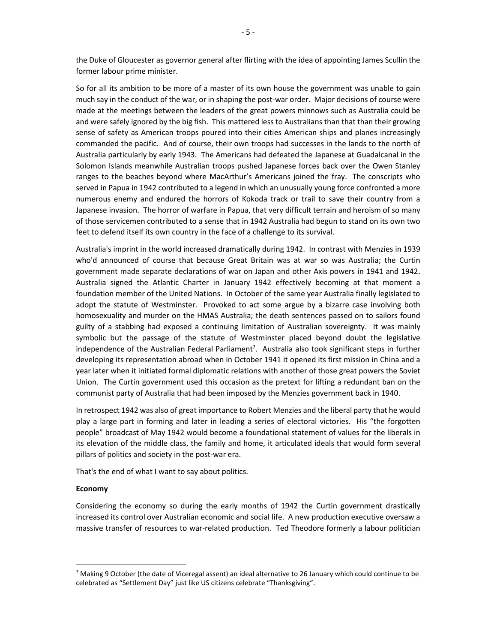the Duke of Gloucester as governor general after flirting with the idea of appointing James Scullin the former labour prime minister.

So for all its ambition to be more of a master of its own house the government was unable to gain much say in the conduct of the war, or in shaping the post-war order. Major decisions of course were made at the meetings between the leaders of the great powers minnows such as Australia could be and were safely ignored by the big fish. This mattered less to Australians than that than their growing sense of safety as American troops poured into their cities American ships and planes increasingly commanded the pacific. And of course, their own troops had successes in the lands to the north of Australia particularly by early 1943. The Americans had defeated the Japanese at Guadalcanal in the Solomon Islands meanwhile Australian troops pushed Japanese forces back over the Owen Stanley ranges to the beaches beyond where MacArthur's Americans joined the fray. The conscripts who served in Papua in 1942 contributed to a legend in which an unusually young force confronted a more numerous enemy and endured the horrors of Kokoda track or trail to save their country from a Japanese invasion. The horror of warfare in Papua, that very difficult terrain and heroism of so many of those servicemen contributed to a sense that in 1942 Australia had begun to stand on its own two feet to defend itself its own country in the face of a challenge to its survival.

Australia's imprint in the world increased dramatically during 1942. In contrast with Menzies in 1939 who'd announced of course that because Great Britain was at war so was Australia; the Curtin government made separate declarations of war on Japan and other Axis powers in 1941 and 1942. Australia signed the Atlantic Charter in January 1942 effectively becoming at that moment a foundation member of the United Nations. In October of the same year Australia finally legislated to adopt the statute of Westminster. Provoked to act some argue by a bizarre case involving both homosexuality and murder on the HMAS Australia; the death sentences passed on to sailors found guilty of a stabbing had exposed a continuing limitation of Australian sovereignty. It was mainly symbolic but the passage of the statute of Westminster placed beyond doubt the legislative independence of the Australian Federal Parliament<sup>7</sup>. Australia also took significant steps in further developing its representation abroad when in October 1941 it opened its first mission in China and a year later when it initiated formal diplomatic relations with another of those great powers the Soviet Union. The Curtin government used this occasion as the pretext for lifting a redundant ban on the communist party of Australia that had been imposed by the Menzies government back in 1940.

In retrospect 1942 was also of great importance to Robert Menzies and the liberal party that he would play a large part in forming and later in leading a series of electoral victories. His "the forgotten people" broadcast of May 1942 would become a foundational statement of values for the liberals in its elevation of the middle class, the family and home, it articulated ideals that would form several pillars of politics and society in the post-war era.

That's the end of what I want to say about politics.

#### **Economy**

Considering the economy so during the early months of 1942 the Curtin government drastically increased its control over Australian economic and social life. A new production executive oversaw a massive transfer of resources to war-related production. Ted Theodore formerly a labour politician

<sup>&</sup>lt;sup>7</sup> Making 9 October (the date of Viceregal assent) an ideal alternative to 26 January which could continue to be celebrated as "Settlement Day" just like US citizens celebrate "Thanksgiving".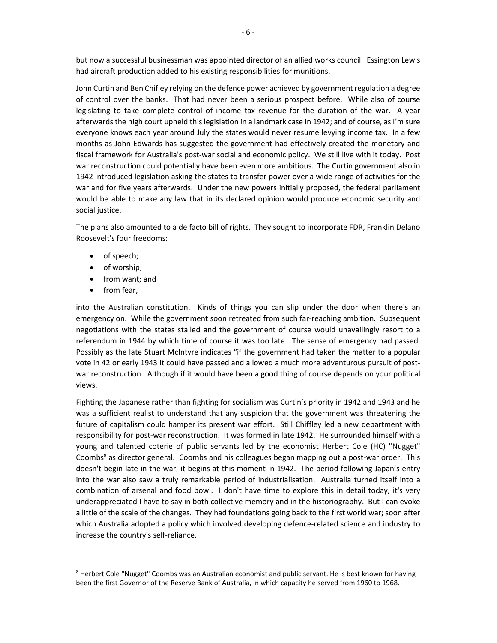but now a successful businessman was appointed director of an allied works council. Essington Lewis had aircraft production added to his existing responsibilities for munitions.

John Curtin and Ben Chifley relying on the defence power achieved by government regulation a degree of control over the banks. That had never been a serious prospect before. While also of course legislating to take complete control of income tax revenue for the duration of the war. A year afterwards the high court upheld this legislation in a landmark case in 1942; and of course, as I'm sure everyone knows each year around July the states would never resume levying income tax. In a few months as John Edwards has suggested the government had effectively created the monetary and fiscal framework for Australia's post-war social and economic policy. We still live with it today. Post war reconstruction could potentially have been even more ambitious. The Curtin government also in 1942 introduced legislation asking the states to transfer power over a wide range of activities for the war and for five years afterwards. Under the new powers initially proposed, the federal parliament would be able to make any law that in its declared opinion would produce economic security and social justice.

The plans also amounted to a de facto bill of rights. They sought to incorporate FDR, Franklin Delano Roosevelt's four freedoms:

- of speech;
- of worship;
- from want; and
- from fear,

into the Australian constitution. Kinds of things you can slip under the door when there's an emergency on. While the government soon retreated from such far-reaching ambition. Subsequent negotiations with the states stalled and the government of course would unavailingly resort to a referendum in 1944 by which time of course it was too late. The sense of emergency had passed. Possibly as the late Stuart McIntyre indicates "if the government had taken the matter to a popular vote in 42 or early 1943 it could have passed and allowed a much more adventurous pursuit of postwar reconstruction. Although if it would have been a good thing of course depends on your political views.

Fighting the Japanese rather than fighting for socialism was Curtin's priority in 1942 and 1943 and he was a sufficient realist to understand that any suspicion that the government was threatening the future of capitalism could hamper its present war effort. Still Chiffley led a new department with responsibility for post-war reconstruction. It was formed in late 1942. He surrounded himself with a young and talented coterie of public servants led by the economist Herbert Cole (HC) "Nugget" Coombs<sup>8</sup> as director general. Coombs and his colleagues began mapping out a post-war order. This doesn't begin late in the war, it begins at this moment in 1942. The period following Japan's entry into the war also saw a truly remarkable period of industrialisation. Australia turned itself into a combination of arsenal and food bowl. I don't have time to explore this in detail today, it's very underappreciated I have to say in both collective memory and in the historiography. But I can evoke a little of the scale of the changes. They had foundations going back to the first world war; soon after which Australia adopted a policy which involved developing defence-related science and industry to increase the country's self-reliance.

<sup>&</sup>lt;sup>8</sup> Herbert Cole "Nugget" Coombs was an Australian economist and public servant. He is best known for having been the first Governor of the Reserve Bank of Australia, in which capacity he served from 1960 to 1968.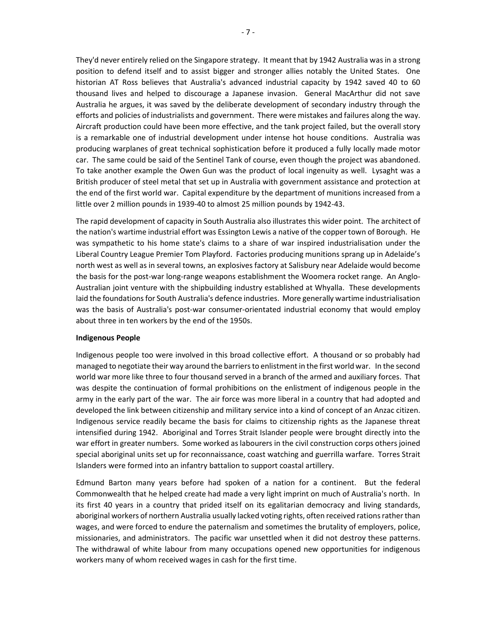They'd never entirely relied on the Singapore strategy. It meant that by 1942 Australia was in a strong position to defend itself and to assist bigger and stronger allies notably the United States. One historian AT Ross believes that Australia's advanced industrial capacity by 1942 saved 40 to 60 thousand lives and helped to discourage a Japanese invasion. General MacArthur did not save Australia he argues, it was saved by the deliberate development of secondary industry through the efforts and policies of industrialists and government. There were mistakes and failures along the way. Aircraft production could have been more effective, and the tank project failed, but the overall story is a remarkable one of industrial development under intense hot house conditions. Australia was producing warplanes of great technical sophistication before it produced a fully locally made motor car. The same could be said of the Sentinel Tank of course, even though the project was abandoned. To take another example the Owen Gun was the product of local ingenuity as well. Lysaght was a British producer of steel metal that set up in Australia with government assistance and protection at the end of the first world war. Capital expenditure by the department of munitions increased from a little over 2 million pounds in 1939-40 to almost 25 million pounds by 1942-43.

The rapid development of capacity in South Australia also illustrates this wider point. The architect of the nation's wartime industrial effort was Essington Lewis a native of the copper town of Borough. He was sympathetic to his home state's claims to a share of war inspired industrialisation under the Liberal Country League Premier Tom Playford. Factories producing munitions sprang up in Adelaide's north west as well as in several towns, an explosives factory at Salisbury near Adelaide would become the basis for the post-war long-range weapons establishment the Woomera rocket range. An Anglo-Australian joint venture with the shipbuilding industry established at Whyalla. These developments laid the foundations for South Australia's defence industries. More generally wartime industrialisation was the basis of Australia's post-war consumer-orientated industrial economy that would employ about three in ten workers by the end of the 1950s.

#### **Indigenous People**

Indigenous people too were involved in this broad collective effort. A thousand or so probably had managed to negotiate their way around the barriers to enlistment in the first world war. In the second world war more like three to four thousand served in a branch of the armed and auxiliary forces. That was despite the continuation of formal prohibitions on the enlistment of indigenous people in the army in the early part of the war. The air force was more liberal in a country that had adopted and developed the link between citizenship and military service into a kind of concept of an Anzac citizen. Indigenous service readily became the basis for claims to citizenship rights as the Japanese threat intensified during 1942. Aboriginal and Torres Strait Islander people were brought directly into the war effort in greater numbers. Some worked as labourers in the civil construction corps others joined special aboriginal units set up for reconnaissance, coast watching and guerrilla warfare. Torres Strait Islanders were formed into an infantry battalion to support coastal artillery.

Edmund Barton many years before had spoken of a nation for a continent. But the federal Commonwealth that he helped create had made a very light imprint on much of Australia's north. In its first 40 years in a country that prided itself on its egalitarian democracy and living standards, aboriginal workers of northern Australia usually lacked voting rights, often received rations rather than wages, and were forced to endure the paternalism and sometimes the brutality of employers, police, missionaries, and administrators. The pacific war unsettled when it did not destroy these patterns. The withdrawal of white labour from many occupations opened new opportunities for indigenous workers many of whom received wages in cash for the first time.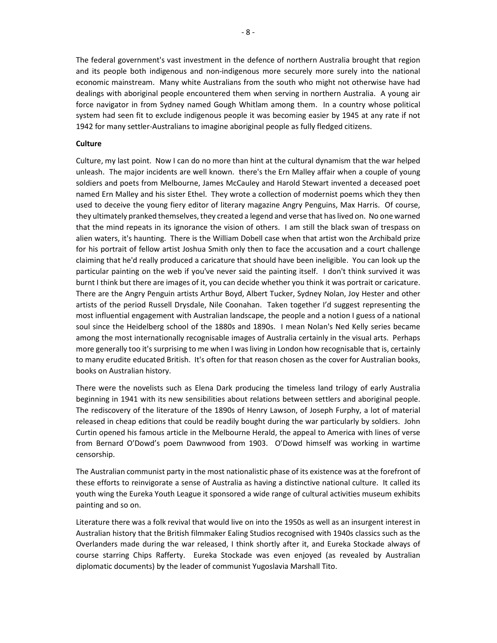The federal government's vast investment in the defence of northern Australia brought that region and its people both indigenous and non-indigenous more securely more surely into the national economic mainstream. Many white Australians from the south who might not otherwise have had dealings with aboriginal people encountered them when serving in northern Australia. A young air force navigator in from Sydney named Gough Whitlam among them. In a country whose political system had seen fit to exclude indigenous people it was becoming easier by 1945 at any rate if not 1942 for many settler-Australians to imagine aboriginal people as fully fledged citizens.

### **Culture**

Culture, my last point. Now I can do no more than hint at the cultural dynamism that the war helped unleash. The major incidents are well known. there's the Ern Malley affair when a couple of young soldiers and poets from Melbourne, James McCauley and Harold Stewart invented a deceased poet named Ern Malley and his sister Ethel. They wrote a collection of modernist poems which they then used to deceive the young fiery editor of literary magazine Angry Penguins, Max Harris. Of course, they ultimately pranked themselves, they created a legend and verse that has lived on. No one warned that the mind repeats in its ignorance the vision of others. I am still the black swan of trespass on alien waters, it's haunting. There is the William Dobell case when that artist won the Archibald prize for his portrait of fellow artist Joshua Smith only then to face the accusation and a court challenge claiming that he'd really produced a caricature that should have been ineligible. You can look up the particular painting on the web if you've never said the painting itself. I don't think survived it was burnt I think but there are images of it, you can decide whether you think it was portrait or caricature. There are the Angry Penguin artists Arthur Boyd, Albert Tucker, Sydney Nolan, Joy Hester and other artists of the period Russell Drysdale, Nile Coonahan. Taken together I'd suggest representing the most influential engagement with Australian landscape, the people and a notion I guess of a national soul since the Heidelberg school of the 1880s and 1890s. I mean Nolan's Ned Kelly series became among the most internationally recognisable images of Australia certainly in the visual arts. Perhaps more generally too it's surprising to me when I was living in London how recognisable that is, certainly to many erudite educated British. It's often for that reason chosen as the cover for Australian books, books on Australian history.

There were the novelists such as Elena Dark producing the timeless land trilogy of early Australia beginning in 1941 with its new sensibilities about relations between settlers and aboriginal people. The rediscovery of the literature of the 1890s of Henry Lawson, of Joseph Furphy, a lot of material released in cheap editions that could be readily bought during the war particularly by soldiers. John Curtin opened his famous article in the Melbourne Herald, the appeal to America with lines of verse from Bernard O'Dowd's poem Dawnwood from 1903. O'Dowd himself was working in wartime censorship.

The Australian communist party in the most nationalistic phase of its existence was at the forefront of these efforts to reinvigorate a sense of Australia as having a distinctive national culture. It called its youth wing the Eureka Youth League it sponsored a wide range of cultural activities museum exhibits painting and so on.

Literature there was a folk revival that would live on into the 1950s as well as an insurgent interest in Australian history that the British filmmaker Ealing Studios recognised with 1940s classics such as the Overlanders made during the war released, I think shortly after it, and Eureka Stockade always of course starring Chips Rafferty. Eureka Stockade was even enjoyed (as revealed by Australian diplomatic documents) by the leader of communist Yugoslavia Marshall Tito.